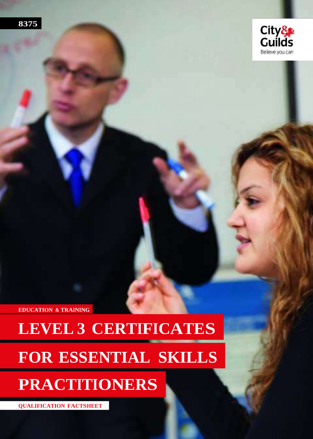



**EDUCATION & TRAINING**

# **LEVEL 3 CERTIFICATES FOR ESSENTIAL SKILLS**

## **PRACTITIONERS**

**QUALIFICATION FACTSHEET**